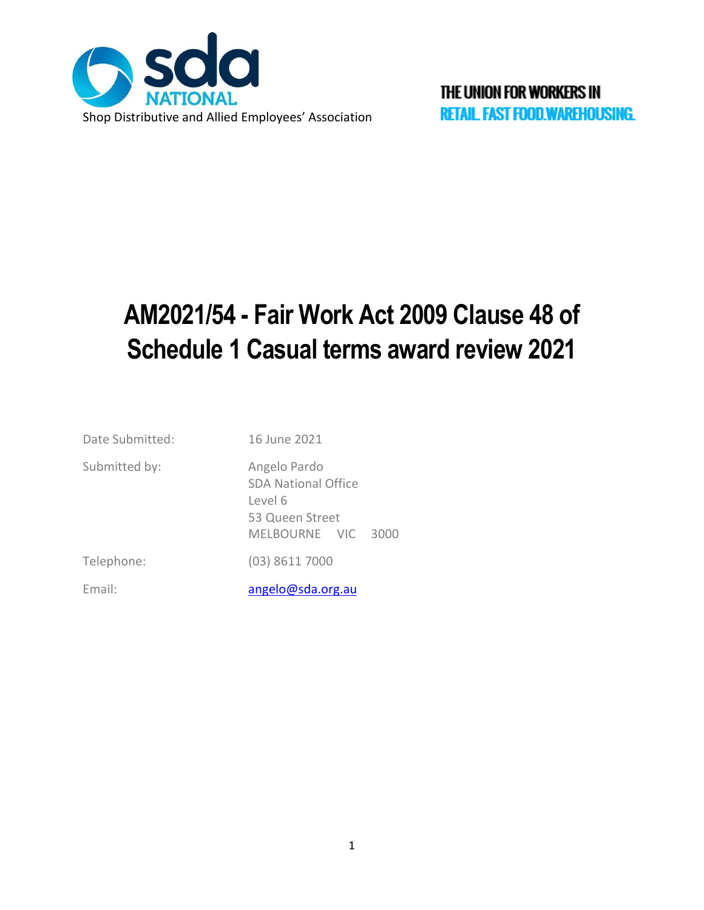

# **AM2021/54 - Fair Work Act 2009 Clause 48 of Schedule 1 Casual terms award review 2021**

| Date Submitted: | 16 June 2021                                                                                   |
|-----------------|------------------------------------------------------------------------------------------------|
| Submitted by:   | Angelo Pardo<br><b>SDA National Office</b><br>Level 6<br>53 Queen Street<br>MELBOURNE VIC 3000 |
| Telephone:      | $(03)$ 8611 7000                                                                               |
| Email:          | angelo@sda.org.au                                                                              |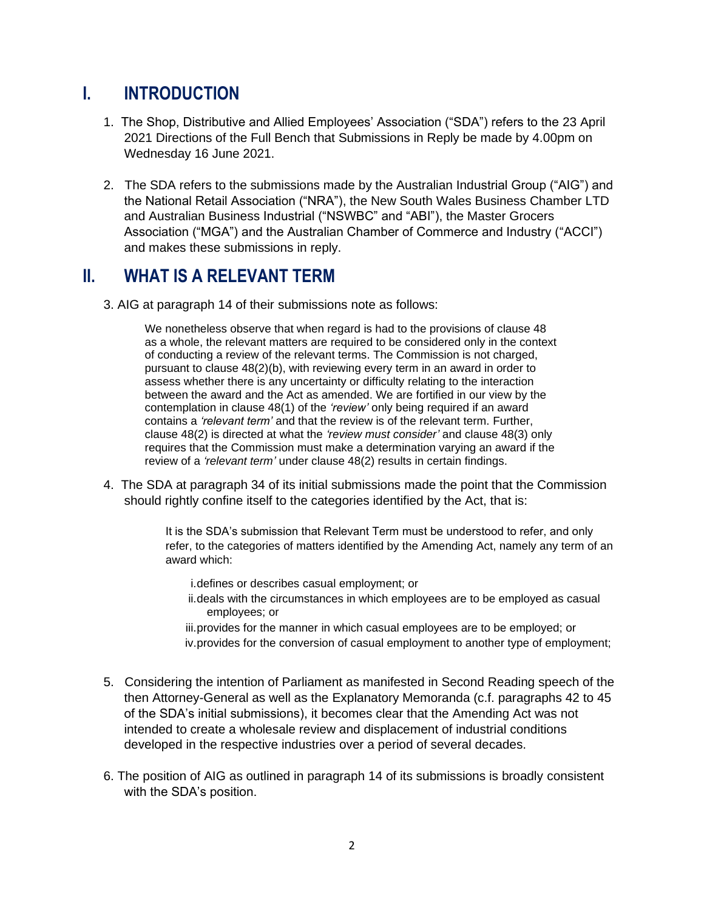## **I. INTRODUCTION**

- 1. The Shop, Distributive and Allied Employees' Association ("SDA") refers to the 23 April 2021 Directions of the Full Bench that Submissions in Reply be made by 4.00pm on Wednesday 16 June 2021.
- 2. The SDA refers to the submissions made by the Australian Industrial Group ("AIG") and the National Retail Association ("NRA"), the New South Wales Business Chamber LTD and Australian Business Industrial ("NSWBC" and "ABI"), the Master Grocers Association ("MGA") and the Australian Chamber of Commerce and Industry ("ACCI") and makes these submissions in reply.

### **II. WHAT IS A RELEVANT TERM**

3. AIG at paragraph 14 of their submissions note as follows:

We nonetheless observe that when regard is had to the provisions of clause 48 as a whole, the relevant matters are required to be considered only in the context of conducting a review of the relevant terms. The Commission is not charged, pursuant to clause 48(2)(b), with reviewing every term in an award in order to assess whether there is any uncertainty or difficulty relating to the interaction between the award and the Act as amended. We are fortified in our view by the contemplation in clause 48(1) of the *'review'* only being required if an award contains a *'relevant term'* and that the review is of the relevant term. Further, clause 48(2) is directed at what the *'review must consider'* and clause 48(3) only requires that the Commission must make a determination varying an award if the review of a *'relevant term'* under clause 48(2) results in certain findings.

4. The SDA at paragraph 34 of its initial submissions made the point that the Commission should rightly confine itself to the categories identified by the Act, that is:

> It is the SDA's submission that Relevant Term must be understood to refer, and only refer, to the categories of matters identified by the Amending Act, namely any term of an award which:

- i.defines or describes casual employment; or
- ii.deals with the circumstances in which employees are to be employed as casual employees; or
- iii.provides for the manner in which casual employees are to be employed; or iv.provides for the conversion of casual employment to another type of employment;
- 5. Considering the intention of Parliament as manifested in Second Reading speech of the then Attorney-General as well as the Explanatory Memoranda (c.f. paragraphs 42 to 45 of the SDA's initial submissions), it becomes clear that the Amending Act was not intended to create a wholesale review and displacement of industrial conditions developed in the respective industries over a period of several decades.
- 6. The position of AIG as outlined in paragraph 14 of its submissions is broadly consistent with the SDA's position.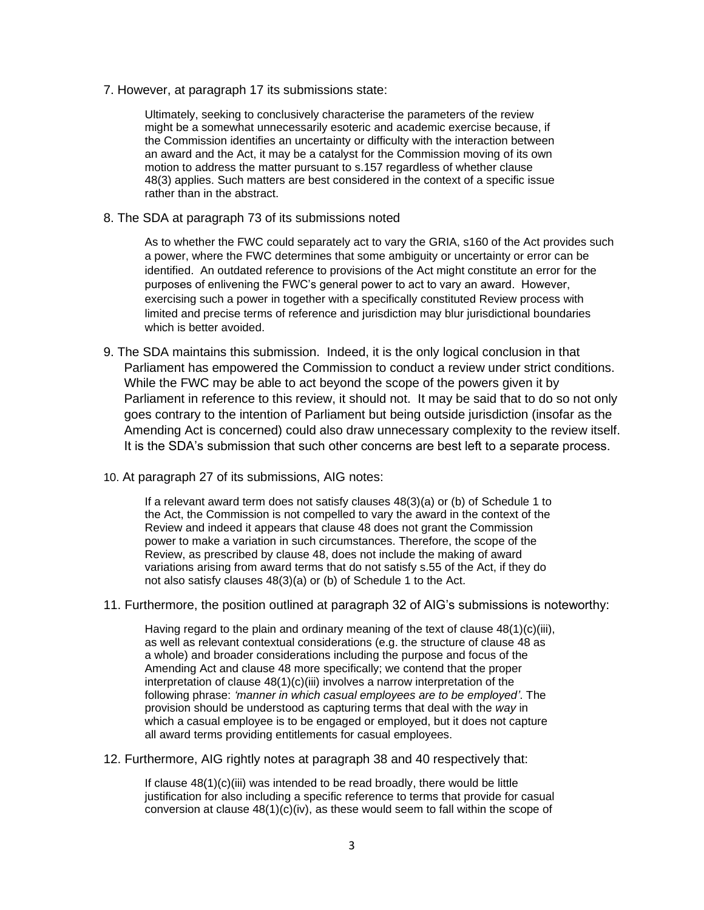7. However, at paragraph 17 its submissions state:

Ultimately, seeking to conclusively characterise the parameters of the review might be a somewhat unnecessarily esoteric and academic exercise because, if the Commission identifies an uncertainty or difficulty with the interaction between an award and the Act, it may be a catalyst for the Commission moving of its own motion to address the matter pursuant to s.157 regardless of whether clause 48(3) applies. Such matters are best considered in the context of a specific issue rather than in the abstract.

8. The SDA at paragraph 73 of its submissions noted

As to whether the FWC could separately act to vary the GRIA, s160 of the Act provides such a power, where the FWC determines that some ambiguity or uncertainty or error can be identified. An outdated reference to provisions of the Act might constitute an error for the purposes of enlivening the FWC's general power to act to vary an award. However, exercising such a power in together with a specifically constituted Review process with limited and precise terms of reference and jurisdiction may blur jurisdictional boundaries which is better avoided.

- 9. The SDA maintains this submission. Indeed, it is the only logical conclusion in that Parliament has empowered the Commission to conduct a review under strict conditions. While the FWC may be able to act beyond the scope of the powers given it by Parliament in reference to this review, it should not. It may be said that to do so not only goes contrary to the intention of Parliament but being outside jurisdiction (insofar as the Amending Act is concerned) could also draw unnecessary complexity to the review itself. It is the SDA's submission that such other concerns are best left to a separate process.
- 10. At paragraph 27 of its submissions, AIG notes:

If a relevant award term does not satisfy clauses 48(3)(a) or (b) of Schedule 1 to the Act, the Commission is not compelled to vary the award in the context of the Review and indeed it appears that clause 48 does not grant the Commission power to make a variation in such circumstances. Therefore, the scope of the Review, as prescribed by clause 48, does not include the making of award variations arising from award terms that do not satisfy s.55 of the Act, if they do not also satisfy clauses 48(3)(a) or (b) of Schedule 1 to the Act.

11. Furthermore, the position outlined at paragraph 32 of AIG's submissions is noteworthy:

Having regard to the plain and ordinary meaning of the text of clause 48(1)(c)(iii), as well as relevant contextual considerations (e.g. the structure of clause 48 as a whole) and broader considerations including the purpose and focus of the Amending Act and clause 48 more specifically; we contend that the proper interpretation of clause 48(1)(c)(iii) involves a narrow interpretation of the following phrase: *'manner in which casual employees are to be employed'*. The provision should be understood as capturing terms that deal with the *way* in which a casual employee is to be engaged or employed, but it does not capture all award terms providing entitlements for casual employees.

12. Furthermore, AIG rightly notes at paragraph 38 and 40 respectively that:

If clause 48(1)(c)(iii) was intended to be read broadly, there would be little justification for also including a specific reference to terms that provide for casual conversion at clause  $48(1)(c)(iv)$ , as these would seem to fall within the scope of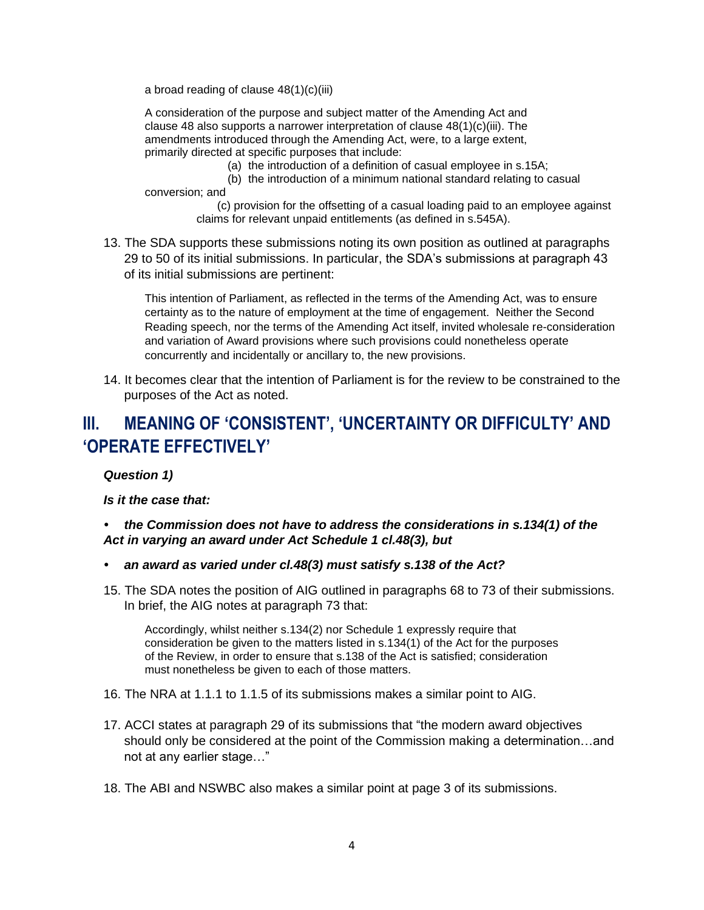a broad reading of clause 48(1)(c)(iii)

A consideration of the purpose and subject matter of the Amending Act and clause 48 also supports a narrower interpretation of clause  $48(1)(c)(iii)$ . The amendments introduced through the Amending Act, were, to a large extent, primarily directed at specific purposes that include:

- (a) the introduction of a definition of casual employee in s.15A;
- (b) the introduction of a minimum national standard relating to casual conversion; and

(c) provision for the offsetting of a casual loading paid to an employee against claims for relevant unpaid entitlements (as defined in s.545A).

13. The SDA supports these submissions noting its own position as outlined at paragraphs 29 to 50 of its initial submissions. In particular, the SDA's submissions at paragraph 43 of its initial submissions are pertinent:

This intention of Parliament, as reflected in the terms of the Amending Act, was to ensure certainty as to the nature of employment at the time of engagement. Neither the Second Reading speech, nor the terms of the Amending Act itself, invited wholesale re-consideration and variation of Award provisions where such provisions could nonetheless operate concurrently and incidentally or ancillary to, the new provisions.

14. It becomes clear that the intention of Parliament is for the review to be constrained to the purposes of the Act as noted.

# **III. MEANING OF 'CONSISTENT', 'UNCERTAINTY OR DIFFICULTY' AND 'OPERATE EFFECTIVELY'**

*Question 1)*

*Is it the case that:*

#### *• the Commission does not have to address the considerations in s.134(1) of the Act in varying an award under Act Schedule 1 cl.48(3), but*

- *• an award as varied under cl.48(3) must satisfy s.138 of the Act?*
- 15. The SDA notes the position of AIG outlined in paragraphs 68 to 73 of their submissions. In brief, the AIG notes at paragraph 73 that:

Accordingly, whilst neither s.134(2) nor Schedule 1 expressly require that consideration be given to the matters listed in s.134(1) of the Act for the purposes of the Review, in order to ensure that s.138 of the Act is satisfied; consideration must nonetheless be given to each of those matters.

- 16. The NRA at 1.1.1 to 1.1.5 of its submissions makes a similar point to AIG.
- 17. ACCI states at paragraph 29 of its submissions that "the modern award objectives should only be considered at the point of the Commission making a determination…and not at any earlier stage…"
- 18. The ABI and NSWBC also makes a similar point at page 3 of its submissions.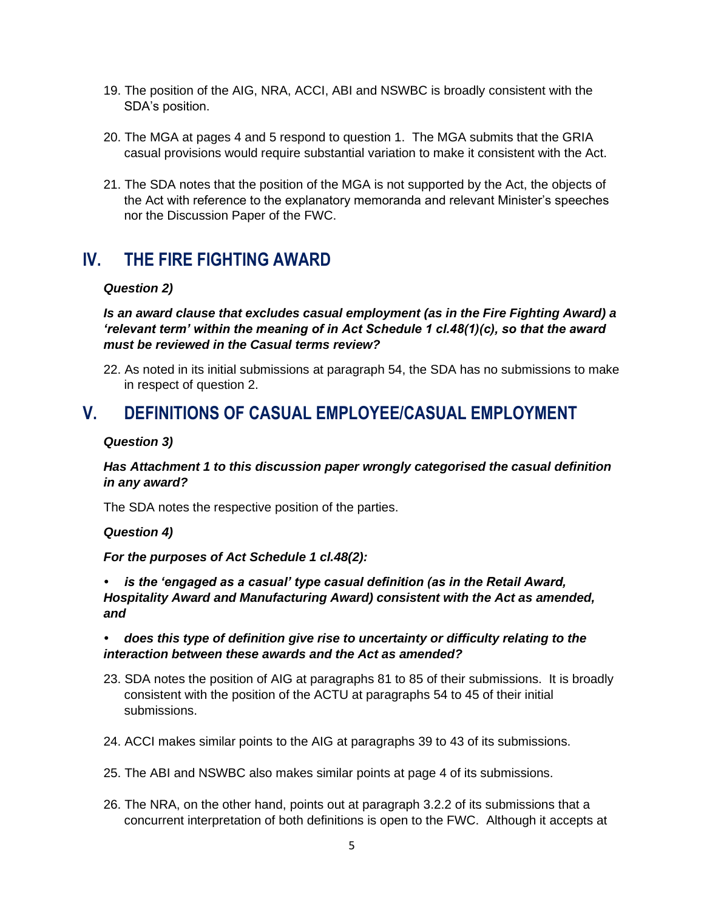- 19. The position of the AIG, NRA, ACCI, ABI and NSWBC is broadly consistent with the SDA's position.
- 20. The MGA at pages 4 and 5 respond to question 1. The MGA submits that the GRIA casual provisions would require substantial variation to make it consistent with the Act.
- 21. The SDA notes that the position of the MGA is not supported by the Act, the objects of the Act with reference to the explanatory memoranda and relevant Minister's speeches nor the Discussion Paper of the FWC.

# **IV. THE FIRE FIGHTING AWARD**

#### *Question 2)*

*Is an award clause that excludes casual employment (as in the Fire Fighting Award) a 'relevant term' within the meaning of in Act Schedule 1 cl.48(1)(c), so that the award must be reviewed in the Casual terms review?*

22. As noted in its initial submissions at paragraph 54, the SDA has no submissions to make in respect of question 2.

### **V. DEFINITIONS OF CASUAL EMPLOYEE/CASUAL EMPLOYMENT**

#### *Question 3)*

*Has Attachment 1 to this discussion paper wrongly categorised the casual definition in any award?*

The SDA notes the respective position of the parties.

*Question 4)*

*For the purposes of Act Schedule 1 cl.48(2):*

*• is the 'engaged as a casual' type casual definition (as in the Retail Award, Hospitality Award and Manufacturing Award) consistent with the Act as amended, and*

*• does this type of definition give rise to uncertainty or difficulty relating to the interaction between these awards and the Act as amended?*

- 23. SDA notes the position of AIG at paragraphs 81 to 85 of their submissions. It is broadly consistent with the position of the ACTU at paragraphs 54 to 45 of their initial submissions.
- 24. ACCI makes similar points to the AIG at paragraphs 39 to 43 of its submissions.
- 25. The ABI and NSWBC also makes similar points at page 4 of its submissions.
- 26. The NRA, on the other hand, points out at paragraph 3.2.2 of its submissions that a concurrent interpretation of both definitions is open to the FWC. Although it accepts at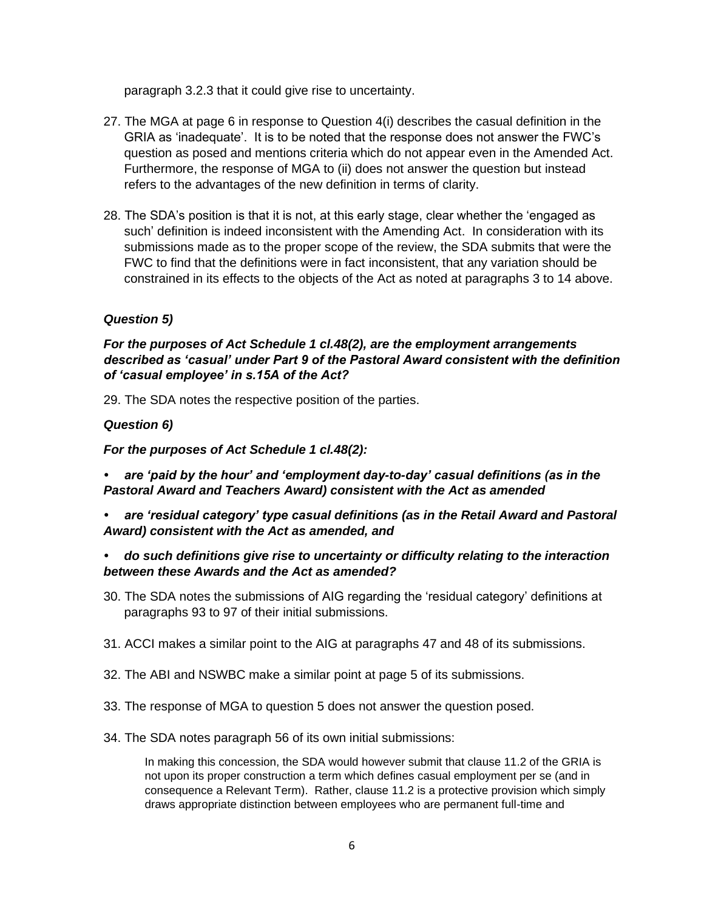paragraph 3.2.3 that it could give rise to uncertainty.

- 27. The MGA at page 6 in response to Question 4(i) describes the casual definition in the GRIA as 'inadequate'. It is to be noted that the response does not answer the FWC's question as posed and mentions criteria which do not appear even in the Amended Act. Furthermore, the response of MGA to (ii) does not answer the question but instead refers to the advantages of the new definition in terms of clarity.
- 28. The SDA's position is that it is not, at this early stage, clear whether the 'engaged as such' definition is indeed inconsistent with the Amending Act. In consideration with its submissions made as to the proper scope of the review, the SDA submits that were the FWC to find that the definitions were in fact inconsistent, that any variation should be constrained in its effects to the objects of the Act as noted at paragraphs 3 to 14 above.

#### *Question 5)*

#### *For the purposes of Act Schedule 1 cl.48(2), are the employment arrangements described as 'casual' under Part 9 of the Pastoral Award consistent with the definition of 'casual employee' in s.15A of the Act?*

29. The SDA notes the respective position of the parties.

#### *Question 6)*

#### *For the purposes of Act Schedule 1 cl.48(2):*

*• are 'paid by the hour' and 'employment day-to-day' casual definitions (as in the Pastoral Award and Teachers Award) consistent with the Act as amended*

*• are 'residual category' type casual definitions (as in the Retail Award and Pastoral Award) consistent with the Act as amended, and*

#### *• do such definitions give rise to uncertainty or difficulty relating to the interaction between these Awards and the Act as amended?*

- 30. The SDA notes the submissions of AIG regarding the 'residual category' definitions at paragraphs 93 to 97 of their initial submissions.
- 31. ACCI makes a similar point to the AIG at paragraphs 47 and 48 of its submissions.
- 32. The ABI and NSWBC make a similar point at page 5 of its submissions.
- 33. The response of MGA to question 5 does not answer the question posed.
- 34. The SDA notes paragraph 56 of its own initial submissions:

In making this concession, the SDA would however submit that clause 11.2 of the GRIA is not upon its proper construction a term which defines casual employment per se (and in consequence a Relevant Term). Rather, clause 11.2 is a protective provision which simply draws appropriate distinction between employees who are permanent full-time and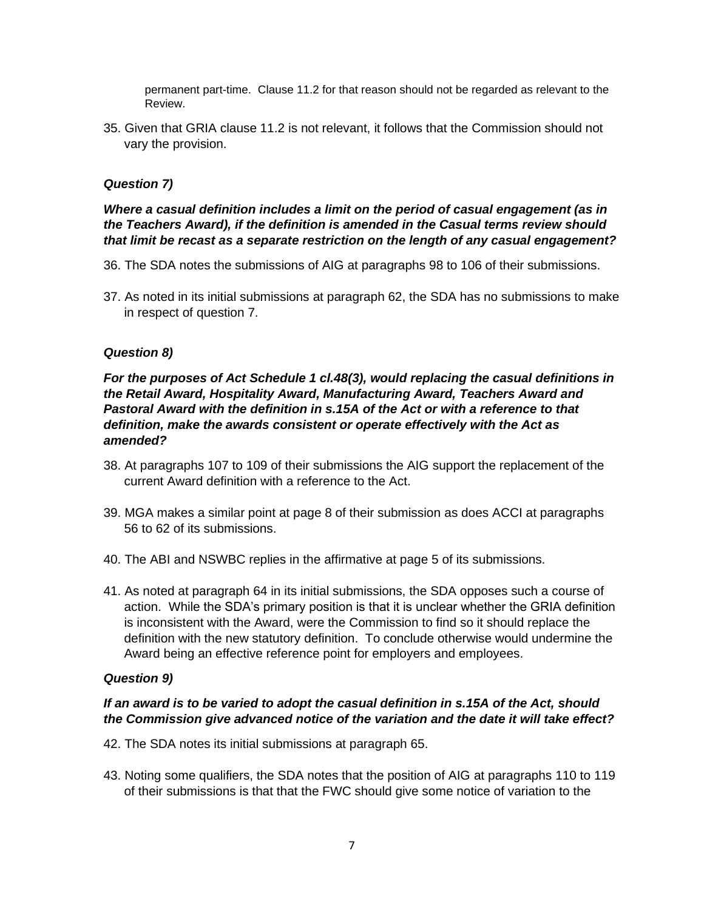permanent part-time. Clause 11.2 for that reason should not be regarded as relevant to the Review.

35. Given that GRIA clause 11.2 is not relevant, it follows that the Commission should not vary the provision.

#### *Question 7)*

#### *Where a casual definition includes a limit on the period of casual engagement (as in the Teachers Award), if the definition is amended in the Casual terms review should that limit be recast as a separate restriction on the length of any casual engagement?*

- 36. The SDA notes the submissions of AIG at paragraphs 98 to 106 of their submissions.
- 37. As noted in its initial submissions at paragraph 62, the SDA has no submissions to make in respect of question 7.

#### *Question 8)*

#### *For the purposes of Act Schedule 1 cl.48(3), would replacing the casual definitions in the Retail Award, Hospitality Award, Manufacturing Award, Teachers Award and Pastoral Award with the definition in s.15A of the Act or with a reference to that definition, make the awards consistent or operate effectively with the Act as amended?*

- 38. At paragraphs 107 to 109 of their submissions the AIG support the replacement of the current Award definition with a reference to the Act.
- 39. MGA makes a similar point at page 8 of their submission as does ACCI at paragraphs 56 to 62 of its submissions.
- 40. The ABI and NSWBC replies in the affirmative at page 5 of its submissions.
- 41. As noted at paragraph 64 in its initial submissions, the SDA opposes such a course of action. While the SDA's primary position is that it is unclear whether the GRIA definition is inconsistent with the Award, were the Commission to find so it should replace the definition with the new statutory definition. To conclude otherwise would undermine the Award being an effective reference point for employers and employees.

#### *Question 9)*

#### *If an award is to be varied to adopt the casual definition in s.15A of the Act, should the Commission give advanced notice of the variation and the date it will take effect?*

- 42. The SDA notes its initial submissions at paragraph 65.
- 43. Noting some qualifiers, the SDA notes that the position of AIG at paragraphs 110 to 119 of their submissions is that that the FWC should give some notice of variation to the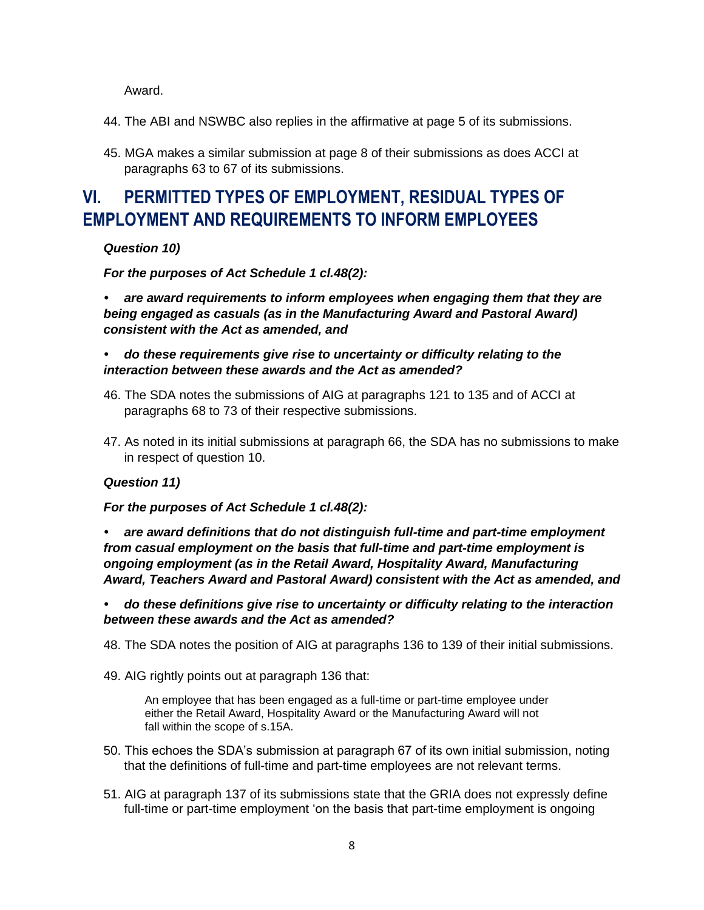Award.

- 44. The ABI and NSWBC also replies in the affirmative at page 5 of its submissions.
- 45. MGA makes a similar submission at page 8 of their submissions as does ACCI at paragraphs 63 to 67 of its submissions.

# **VI. PERMITTED TYPES OF EMPLOYMENT, RESIDUAL TYPES OF EMPLOYMENT AND REQUIREMENTS TO INFORM EMPLOYEES**

*Question 10)*

*For the purposes of Act Schedule 1 cl.48(2):*

*• are award requirements to inform employees when engaging them that they are being engaged as casuals (as in the Manufacturing Award and Pastoral Award) consistent with the Act as amended, and*

#### *• do these requirements give rise to uncertainty or difficulty relating to the interaction between these awards and the Act as amended?*

- 46. The SDA notes the submissions of AIG at paragraphs 121 to 135 and of ACCI at paragraphs 68 to 73 of their respective submissions.
- 47. As noted in its initial submissions at paragraph 66, the SDA has no submissions to make in respect of question 10.

#### *Question 11)*

#### *For the purposes of Act Schedule 1 cl.48(2):*

*• are award definitions that do not distinguish full-time and part-time employment from casual employment on the basis that full-time and part-time employment is ongoing employment (as in the Retail Award, Hospitality Award, Manufacturing Award, Teachers Award and Pastoral Award) consistent with the Act as amended, and*

*• do these definitions give rise to uncertainty or difficulty relating to the interaction between these awards and the Act as amended?*

48. The SDA notes the position of AIG at paragraphs 136 to 139 of their initial submissions.

49. AIG rightly points out at paragraph 136 that:

An employee that has been engaged as a full-time or part-time employee under either the Retail Award, Hospitality Award or the Manufacturing Award will not fall within the scope of s.15A.

- 50. This echoes the SDA's submission at paragraph 67 of its own initial submission, noting that the definitions of full-time and part-time employees are not relevant terms.
- 51. AIG at paragraph 137 of its submissions state that the GRIA does not expressly define full-time or part-time employment 'on the basis that part-time employment is ongoing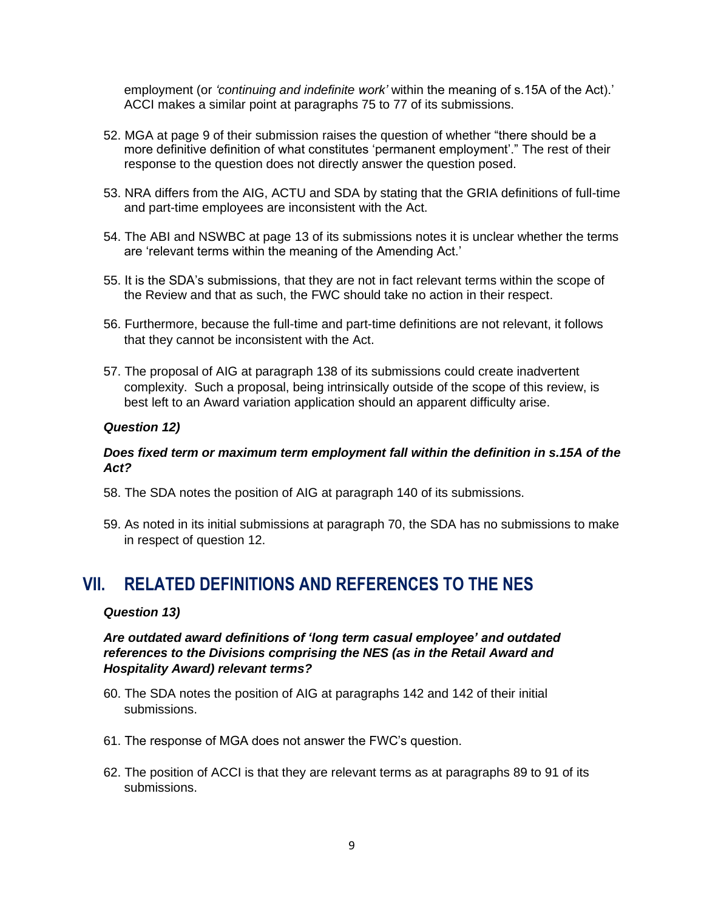employment (or *'continuing and indefinite work'* within the meaning of s.15A of the Act).' ACCI makes a similar point at paragraphs 75 to 77 of its submissions.

- 52. MGA at page 9 of their submission raises the question of whether "there should be a more definitive definition of what constitutes 'permanent employment'." The rest of their response to the question does not directly answer the question posed.
- 53. NRA differs from the AIG, ACTU and SDA by stating that the GRIA definitions of full-time and part-time employees are inconsistent with the Act.
- 54. The ABI and NSWBC at page 13 of its submissions notes it is unclear whether the terms are 'relevant terms within the meaning of the Amending Act.'
- 55. It is the SDA's submissions, that they are not in fact relevant terms within the scope of the Review and that as such, the FWC should take no action in their respect.
- 56. Furthermore, because the full-time and part-time definitions are not relevant, it follows that they cannot be inconsistent with the Act.
- 57. The proposal of AIG at paragraph 138 of its submissions could create inadvertent complexity. Such a proposal, being intrinsically outside of the scope of this review, is best left to an Award variation application should an apparent difficulty arise.

#### *Question 12)*

#### *Does fixed term or maximum term employment fall within the definition in s.15A of the Act?*

- 58. The SDA notes the position of AIG at paragraph 140 of its submissions.
- 59. As noted in its initial submissions at paragraph 70, the SDA has no submissions to make in respect of question 12.

### **VII. RELATED DEFINITIONS AND REFERENCES TO THE NES**

#### *Question 13)*

#### *Are outdated award definitions of 'long term casual employee' and outdated references to the Divisions comprising the NES (as in the Retail Award and Hospitality Award) relevant terms?*

- 60. The SDA notes the position of AIG at paragraphs 142 and 142 of their initial submissions.
- 61. The response of MGA does not answer the FWC's question.
- 62. The position of ACCI is that they are relevant terms as at paragraphs 89 to 91 of its submissions.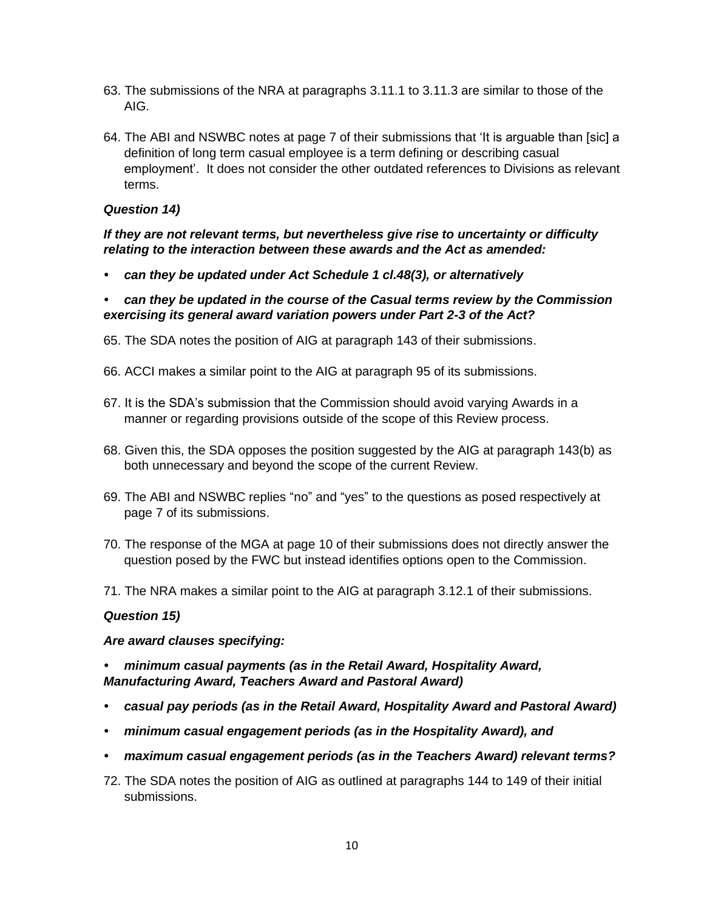- 63. The submissions of the NRA at paragraphs 3.11.1 to 3.11.3 are similar to those of the AIG.
- 64. The ABI and NSWBC notes at page 7 of their submissions that 'It is arguable than [sic] a definition of long term casual employee is a term defining or describing casual employment'. It does not consider the other outdated references to Divisions as relevant terms.

#### *Question 14)*

#### *If they are not relevant terms, but nevertheless give rise to uncertainty or difficulty relating to the interaction between these awards and the Act as amended:*

*• can they be updated under Act Schedule 1 cl.48(3), or alternatively*

#### *• can they be updated in the course of the Casual terms review by the Commission exercising its general award variation powers under Part 2-3 of the Act?*

- 65. The SDA notes the position of AIG at paragraph 143 of their submissions.
- 66. ACCI makes a similar point to the AIG at paragraph 95 of its submissions.
- 67. It is the SDA's submission that the Commission should avoid varying Awards in a manner or regarding provisions outside of the scope of this Review process.
- 68. Given this, the SDA opposes the position suggested by the AIG at paragraph 143(b) as both unnecessary and beyond the scope of the current Review.
- 69. The ABI and NSWBC replies "no" and "yes" to the questions as posed respectively at page 7 of its submissions.
- 70. The response of the MGA at page 10 of their submissions does not directly answer the question posed by the FWC but instead identifies options open to the Commission.
- 71. The NRA makes a similar point to the AIG at paragraph 3.12.1 of their submissions.

#### *Question 15)*

#### *Are award clauses specifying:*

#### *• minimum casual payments (as in the Retail Award, Hospitality Award, Manufacturing Award, Teachers Award and Pastoral Award)*

- *• casual pay periods (as in the Retail Award, Hospitality Award and Pastoral Award)*
- *• minimum casual engagement periods (as in the Hospitality Award), and*
- *• maximum casual engagement periods (as in the Teachers Award) relevant terms?*
- 72. The SDA notes the position of AIG as outlined at paragraphs 144 to 149 of their initial submissions.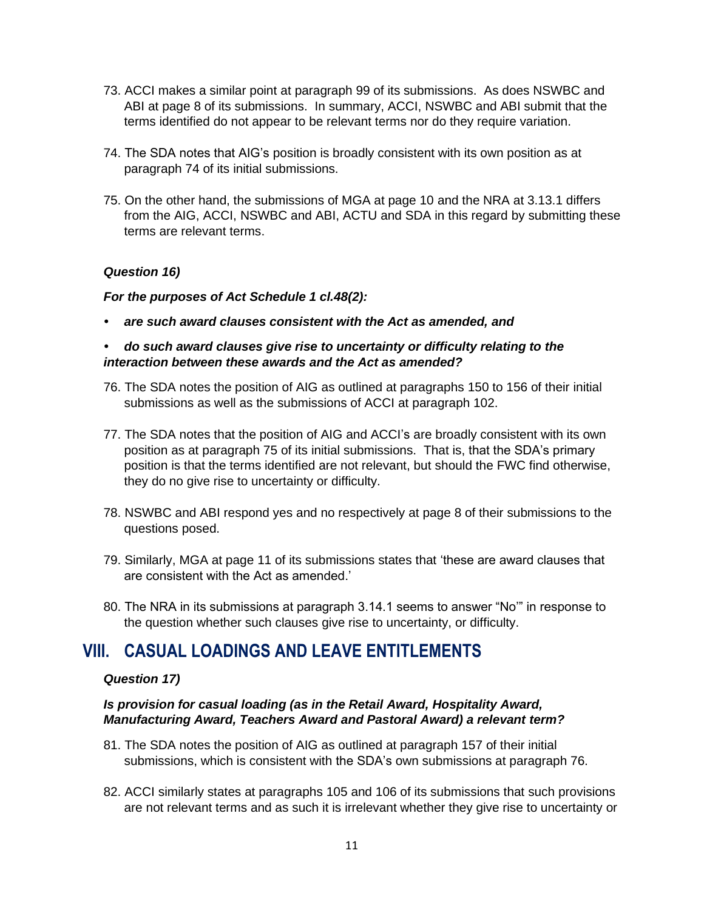- 73. ACCI makes a similar point at paragraph 99 of its submissions. As does NSWBC and ABI at page 8 of its submissions. In summary, ACCI, NSWBC and ABI submit that the terms identified do not appear to be relevant terms nor do they require variation.
- 74. The SDA notes that AIG's position is broadly consistent with its own position as at paragraph 74 of its initial submissions.
- 75. On the other hand, the submissions of MGA at page 10 and the NRA at 3.13.1 differs from the AIG, ACCI, NSWBC and ABI, ACTU and SDA in this regard by submitting these terms are relevant terms.

#### *Question 16)*

#### *For the purposes of Act Schedule 1 cl.48(2):*

*• are such award clauses consistent with the Act as amended, and*

#### *• do such award clauses give rise to uncertainty or difficulty relating to the interaction between these awards and the Act as amended?*

- 76. The SDA notes the position of AIG as outlined at paragraphs 150 to 156 of their initial submissions as well as the submissions of ACCI at paragraph 102.
- 77. The SDA notes that the position of AIG and ACCI's are broadly consistent with its own position as at paragraph 75 of its initial submissions. That is, that the SDA's primary position is that the terms identified are not relevant, but should the FWC find otherwise, they do no give rise to uncertainty or difficulty.
- 78. NSWBC and ABI respond yes and no respectively at page 8 of their submissions to the questions posed.
- 79. Similarly, MGA at page 11 of its submissions states that 'these are award clauses that are consistent with the Act as amended.'
- 80. The NRA in its submissions at paragraph 3.14.1 seems to answer "No'" in response to the question whether such clauses give rise to uncertainty, or difficulty.

### **VIII. CASUAL LOADINGS AND LEAVE ENTITLEMENTS**

#### *Question 17)*

#### *Is provision for casual loading (as in the Retail Award, Hospitality Award, Manufacturing Award, Teachers Award and Pastoral Award) a relevant term?*

- 81. The SDA notes the position of AIG as outlined at paragraph 157 of their initial submissions, which is consistent with the SDA's own submissions at paragraph 76.
- 82. ACCI similarly states at paragraphs 105 and 106 of its submissions that such provisions are not relevant terms and as such it is irrelevant whether they give rise to uncertainty or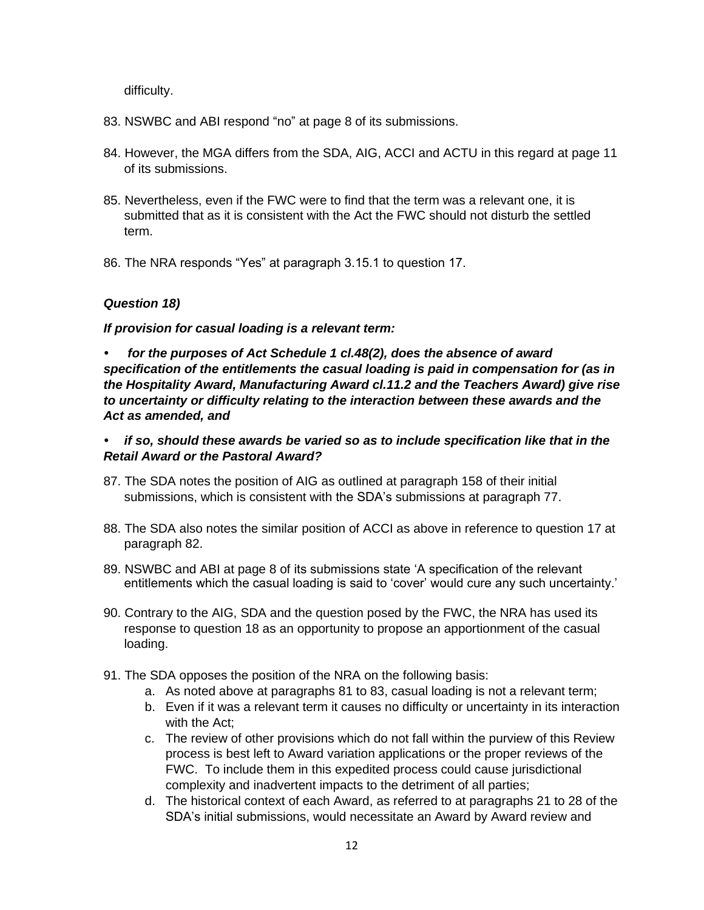difficulty.

- 83. NSWBC and ABI respond "no" at page 8 of its submissions.
- 84. However, the MGA differs from the SDA, AIG, ACCI and ACTU in this regard at page 11 of its submissions.
- 85. Nevertheless, even if the FWC were to find that the term was a relevant one, it is submitted that as it is consistent with the Act the FWC should not disturb the settled term.
- 86. The NRA responds "Yes" at paragraph 3.15.1 to question 17.

#### *Question 18)*

*If provision for casual loading is a relevant term:*

*• for the purposes of Act Schedule 1 cl.48(2), does the absence of award specification of the entitlements the casual loading is paid in compensation for (as in the Hospitality Award, Manufacturing Award cl.11.2 and the Teachers Award) give rise to uncertainty or difficulty relating to the interaction between these awards and the Act as amended, and*

#### *• if so, should these awards be varied so as to include specification like that in the Retail Award or the Pastoral Award?*

- 87. The SDA notes the position of AIG as outlined at paragraph 158 of their initial submissions, which is consistent with the SDA's submissions at paragraph 77.
- 88. The SDA also notes the similar position of ACCI as above in reference to question 17 at paragraph 82.
- 89. NSWBC and ABI at page 8 of its submissions state 'A specification of the relevant entitlements which the casual loading is said to 'cover' would cure any such uncertainty.'
- 90. Contrary to the AIG, SDA and the question posed by the FWC, the NRA has used its response to question 18 as an opportunity to propose an apportionment of the casual loading.
- 91. The SDA opposes the position of the NRA on the following basis:
	- a. As noted above at paragraphs 81 to 83, casual loading is not a relevant term;
	- b. Even if it was a relevant term it causes no difficulty or uncertainty in its interaction with the Act;
	- c. The review of other provisions which do not fall within the purview of this Review process is best left to Award variation applications or the proper reviews of the FWC. To include them in this expedited process could cause jurisdictional complexity and inadvertent impacts to the detriment of all parties;
	- d. The historical context of each Award, as referred to at paragraphs 21 to 28 of the SDA's initial submissions, would necessitate an Award by Award review and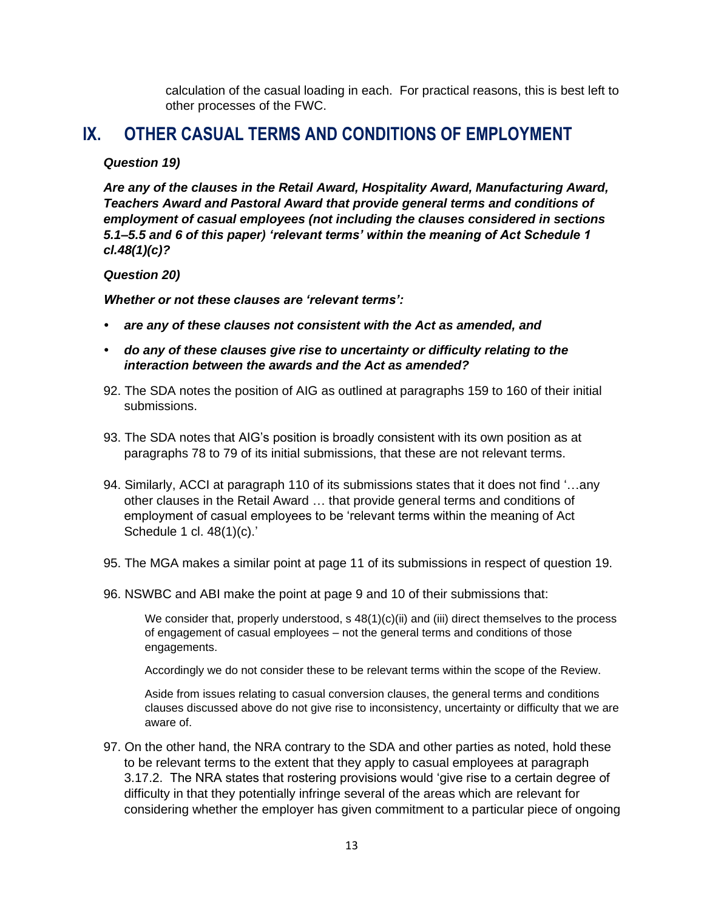calculation of the casual loading in each. For practical reasons, this is best left to other processes of the FWC.

### **IX. OTHER CASUAL TERMS AND CONDITIONS OF EMPLOYMENT**

#### *Question 19)*

*Are any of the clauses in the Retail Award, Hospitality Award, Manufacturing Award, Teachers Award and Pastoral Award that provide general terms and conditions of employment of casual employees (not including the clauses considered in sections 5.1–5.5 and 6 of this paper) 'relevant terms' within the meaning of Act Schedule 1 cl.48(1)(c)?*

#### *Question 20)*

*Whether or not these clauses are 'relevant terms':*

- *• are any of these clauses not consistent with the Act as amended, and*
- *• do any of these clauses give rise to uncertainty or difficulty relating to the interaction between the awards and the Act as amended?*
- 92. The SDA notes the position of AIG as outlined at paragraphs 159 to 160 of their initial submissions.
- 93. The SDA notes that AIG's position is broadly consistent with its own position as at paragraphs 78 to 79 of its initial submissions, that these are not relevant terms.
- 94. Similarly, ACCI at paragraph 110 of its submissions states that it does not find '…any other clauses in the Retail Award … that provide general terms and conditions of employment of casual employees to be 'relevant terms within the meaning of Act Schedule 1 cl. 48(1)(c).'
- 95. The MGA makes a similar point at page 11 of its submissions in respect of question 19.
- 96. NSWBC and ABI make the point at page 9 and 10 of their submissions that:

We consider that, properly understood, s 48(1)(c)(ii) and (iii) direct themselves to the process of engagement of casual employees – not the general terms and conditions of those engagements.

Accordingly we do not consider these to be relevant terms within the scope of the Review.

Aside from issues relating to casual conversion clauses, the general terms and conditions clauses discussed above do not give rise to inconsistency, uncertainty or difficulty that we are aware of.

97. On the other hand, the NRA contrary to the SDA and other parties as noted, hold these to be relevant terms to the extent that they apply to casual employees at paragraph 3.17.2. The NRA states that rostering provisions would 'give rise to a certain degree of difficulty in that they potentially infringe several of the areas which are relevant for considering whether the employer has given commitment to a particular piece of ongoing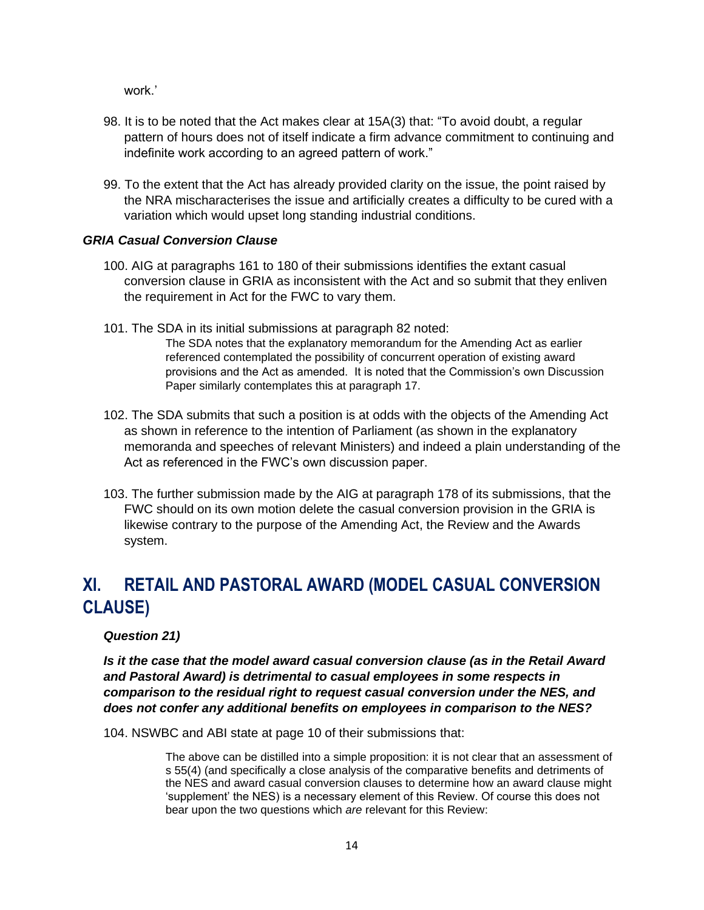work.'

- 98. It is to be noted that the Act makes clear at 15A(3) that: "To avoid doubt, a regular pattern of hours does not of itself indicate a firm advance commitment to continuing and indefinite work according to an agreed pattern of work."
- 99. To the extent that the Act has already provided clarity on the issue, the point raised by the NRA mischaracterises the issue and artificially creates a difficulty to be cured with a variation which would upset long standing industrial conditions.

#### *GRIA Casual Conversion Clause*

- 100. AIG at paragraphs 161 to 180 of their submissions identifies the extant casual conversion clause in GRIA as inconsistent with the Act and so submit that they enliven the requirement in Act for the FWC to vary them.
- 101. The SDA in its initial submissions at paragraph 82 noted:

The SDA notes that the explanatory memorandum for the Amending Act as earlier referenced contemplated the possibility of concurrent operation of existing award provisions and the Act as amended. It is noted that the Commission's own Discussion Paper similarly contemplates this at paragraph 17.

- 102. The SDA submits that such a position is at odds with the objects of the Amending Act as shown in reference to the intention of Parliament (as shown in the explanatory memoranda and speeches of relevant Ministers) and indeed a plain understanding of the Act as referenced in the FWC's own discussion paper.
- 103. The further submission made by the AIG at paragraph 178 of its submissions, that the FWC should on its own motion delete the casual conversion provision in the GRIA is likewise contrary to the purpose of the Amending Act, the Review and the Awards system.

# **XI. RETAIL AND PASTORAL AWARD (MODEL CASUAL CONVERSION CLAUSE)**

#### *Question 21)*

*Is it the case that the model award casual conversion clause (as in the Retail Award and Pastoral Award) is detrimental to casual employees in some respects in comparison to the residual right to request casual conversion under the NES, and does not confer any additional benefits on employees in comparison to the NES?*

104. NSWBC and ABI state at page 10 of their submissions that:

The above can be distilled into a simple proposition: it is not clear that an assessment of s 55(4) (and specifically a close analysis of the comparative benefits and detriments of the NES and award casual conversion clauses to determine how an award clause might 'supplement' the NES) is a necessary element of this Review. Of course this does not bear upon the two questions which *are* relevant for this Review: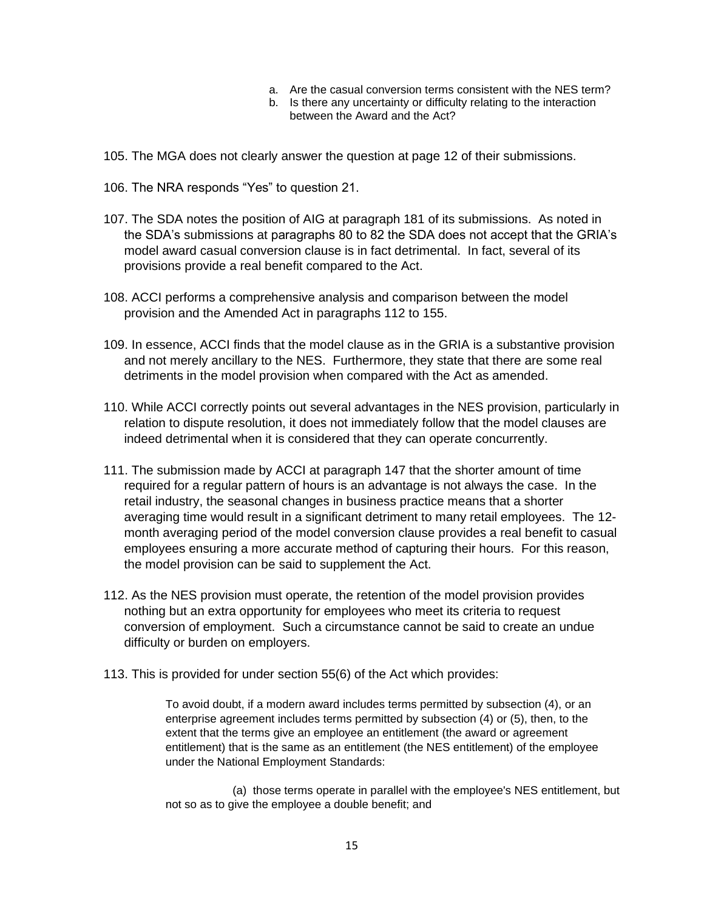- a. Are the casual conversion terms consistent with the NES term?
- b. Is there any uncertainty or difficulty relating to the interaction between the Award and the Act?
- 105. The MGA does not clearly answer the question at page 12 of their submissions.
- 106. The NRA responds "Yes" to question 21.
- 107. The SDA notes the position of AIG at paragraph 181 of its submissions. As noted in the SDA's submissions at paragraphs 80 to 82 the SDA does not accept that the GRIA's model award casual conversion clause is in fact detrimental. In fact, several of its provisions provide a real benefit compared to the Act.
- 108. ACCI performs a comprehensive analysis and comparison between the model provision and the Amended Act in paragraphs 112 to 155.
- 109. In essence, ACCI finds that the model clause as in the GRIA is a substantive provision and not merely ancillary to the NES. Furthermore, they state that there are some real detriments in the model provision when compared with the Act as amended.
- 110. While ACCI correctly points out several advantages in the NES provision, particularly in relation to dispute resolution, it does not immediately follow that the model clauses are indeed detrimental when it is considered that they can operate concurrently.
- 111. The submission made by ACCI at paragraph 147 that the shorter amount of time required for a regular pattern of hours is an advantage is not always the case. In the retail industry, the seasonal changes in business practice means that a shorter averaging time would result in a significant detriment to many retail employees. The 12 month averaging period of the model conversion clause provides a real benefit to casual employees ensuring a more accurate method of capturing their hours. For this reason, the model provision can be said to supplement the Act.
- 112. As the NES provision must operate, the retention of the model provision provides nothing but an extra opportunity for employees who meet its criteria to request conversion of employment. Such a circumstance cannot be said to create an undue difficulty or burden on employers.
- 113. This is provided for under section 55(6) of the Act which provides:

To avoid doubt, if a modern award includes terms permitted by subsection (4), or an enterprise agreement includes terms permitted by subsection (4) or (5), then, to the extent that the terms give an employee an entitlement (the award or agreement entitlement) that is the same as an entitlement (the NES entitlement) of the employee under the National Employment Standards:

 (a) those terms operate in parallel with the employee's NES entitlement, but not so as to give the employee a double benefit; and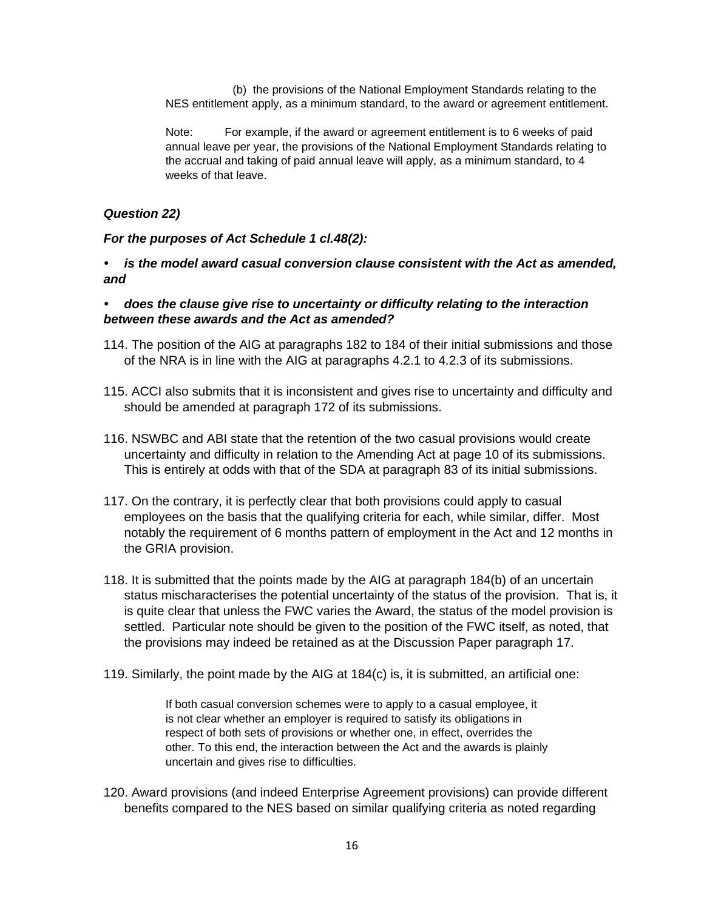(b) the provisions of the National Employment Standards relating to the NES entitlement apply, as a minimum standard, to the award or agreement entitlement.

Note: For example, if the award or agreement entitlement is to 6 weeks of paid annual leave per year, the provisions of the National Employment Standards relating to the accrual and taking of paid annual leave will apply, as a minimum standard, to 4 weeks of that leave.

#### *Question 22)*

#### *For the purposes of Act Schedule 1 cl.48(2):*

*• is the model award casual conversion clause consistent with the Act as amended, and*

#### *• does the clause give rise to uncertainty or difficulty relating to the interaction between these awards and the Act as amended?*

- 114. The position of the AIG at paragraphs 182 to 184 of their initial submissions and those of the NRA is in line with the AIG at paragraphs 4.2.1 to 4.2.3 of its submissions.
- 115. ACCI also submits that it is inconsistent and gives rise to uncertainty and difficulty and should be amended at paragraph 172 of its submissions.
- 116. NSWBC and ABI state that the retention of the two casual provisions would create uncertainty and difficulty in relation to the Amending Act at page 10 of its submissions. This is entirely at odds with that of the SDA at paragraph 83 of its initial submissions.
- 117. On the contrary, it is perfectly clear that both provisions could apply to casual employees on the basis that the qualifying criteria for each, while similar, differ. Most notably the requirement of 6 months pattern of employment in the Act and 12 months in the GRIA provision.
- 118. It is submitted that the points made by the AIG at paragraph 184(b) of an uncertain status mischaracterises the potential uncertainty of the status of the provision. That is, it is quite clear that unless the FWC varies the Award, the status of the model provision is settled. Particular note should be given to the position of the FWC itself, as noted, that the provisions may indeed be retained as at the Discussion Paper paragraph 17.
- 119. Similarly, the point made by the AIG at 184(c) is, it is submitted, an artificial one:

If both casual conversion schemes were to apply to a casual employee, it is not clear whether an employer is required to satisfy its obligations in respect of both sets of provisions or whether one, in effect, overrides the other. To this end, the interaction between the Act and the awards is plainly uncertain and gives rise to difficulties.

120. Award provisions (and indeed Enterprise Agreement provisions) can provide different benefits compared to the NES based on similar qualifying criteria as noted regarding